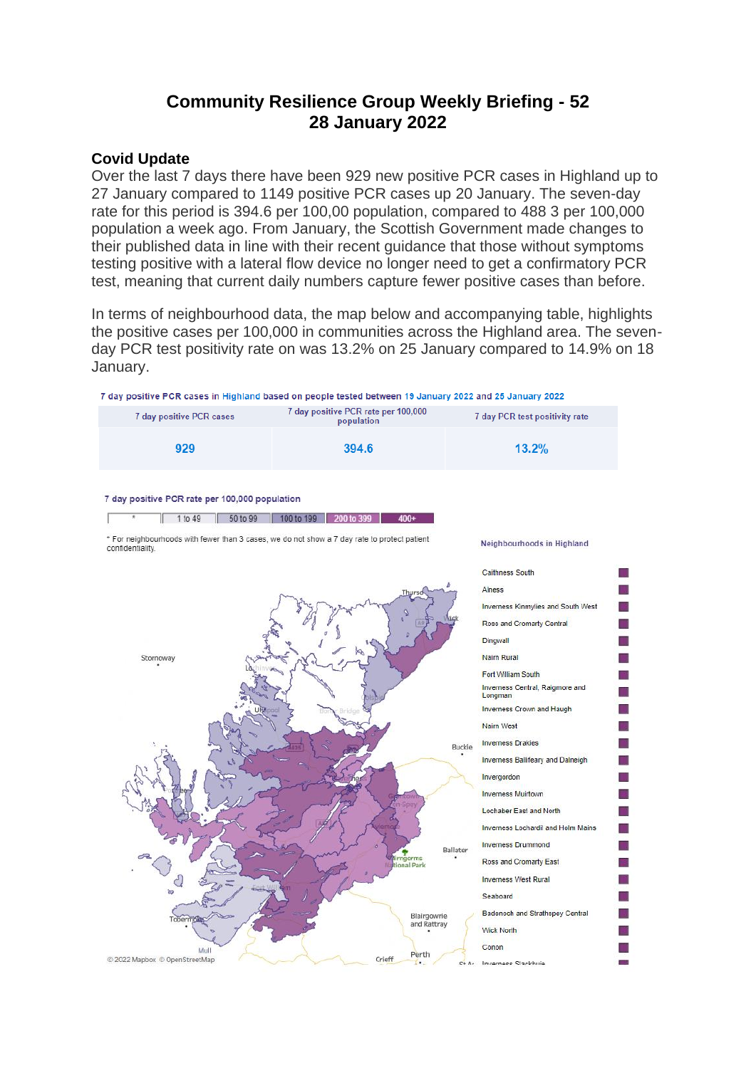# **Community Resilience Group Weekly Briefing - 52 28 January 2022**

#### **Covid Update**

Over the last 7 days there have been 929 new positive PCR cases in Highland up to 27 January compared to 1149 positive PCR cases up 20 January. The seven-day rate for this period is 394.6 per 100,00 population, compared to 488 3 per 100,000 population a week ago. From January, the Scottish Government made changes to their published data in line with their recent guidance that those without symptoms testing positive with a lateral flow device no longer need to get a confirmatory PCR test, meaning that current daily numbers capture fewer positive cases than before.

In terms of neighbourhood data, the map below and accompanying table, highlights the positive cases per 100,000 in communities across the Highland area. The sevenday PCR test positivity rate on was 13.2% on 25 January compared to 14.9% on 18 January.

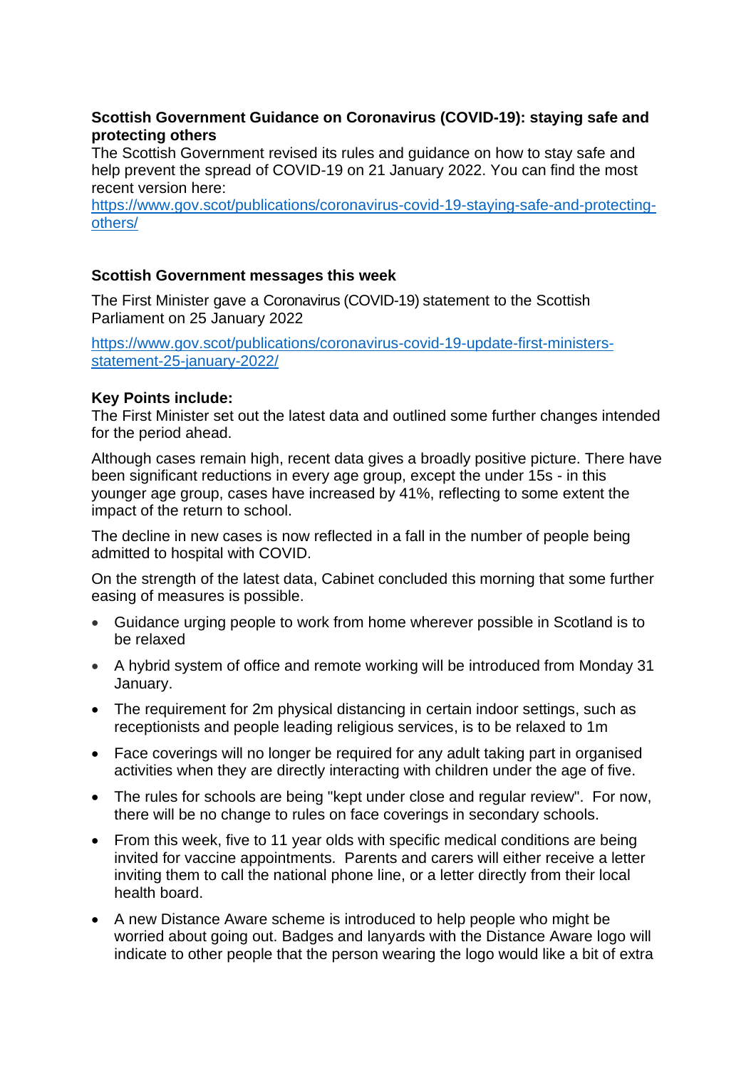# **Scottish Government Guidance on Coronavirus (COVID-19): staying safe and protecting others**

The Scottish Government revised its rules and guidance on how to stay safe and help prevent the spread of COVID-19 on 21 January 2022. You can find the most recent version here:

[https://www.gov.scot/publications/coronavirus-covid-19-staying-safe-and-protecting](https://www.gov.scot/publications/coronavirus-covid-19-staying-safe-and-protecting-others/)[others/](https://www.gov.scot/publications/coronavirus-covid-19-staying-safe-and-protecting-others/)

# **Scottish Government messages this week**

The First Minister gave a Coronavirus (COVID-19) statement to the Scottish Parliament on 25 January 2022

[https://www.gov.scot/publications/coronavirus-covid-19-update-first-ministers](https://www.gov.scot/publications/coronavirus-covid-19-update-first-ministers-statement-25-january-2022/)[statement-25-january-2022/](https://www.gov.scot/publications/coronavirus-covid-19-update-first-ministers-statement-25-january-2022/)

## **Key Points include:**

The First Minister set out the latest data and outlined some further changes intended for the period ahead.

Although cases remain high, recent data gives a broadly positive picture. There have been significant reductions in every age group, except the under 15s - in this younger age group, cases have increased by 41%, reflecting to some extent the impact of the return to school.

The decline in new cases is now reflected in a fall in the number of people being admitted to hospital with COVID.

On the strength of the latest data, Cabinet concluded this morning that some further easing of measures is possible.

- Guidance urging people to work from home wherever possible in Scotland is to be relaxed
- A hybrid system of office and remote working will be introduced from Monday 31 January.
- The requirement for 2m physical distancing in certain indoor settings, such as receptionists and people leading religious services, is to be relaxed to 1m
- Face coverings will no longer be required for any adult taking part in organised activities when they are directly interacting with children under the age of five.
- The rules for schools are being "kept under close and regular review". For now, there will be no change to rules on face coverings in secondary schools.
- From this week, five to 11 year olds with specific medical conditions are being invited for vaccine appointments. Parents and carers will either receive a letter inviting them to call the national phone line, or a letter directly from their local health board.
- A new Distance Aware scheme is introduced to help people who might be worried about going out. Badges and lanyards with the Distance Aware logo will indicate to other people that the person wearing the logo would like a bit of extra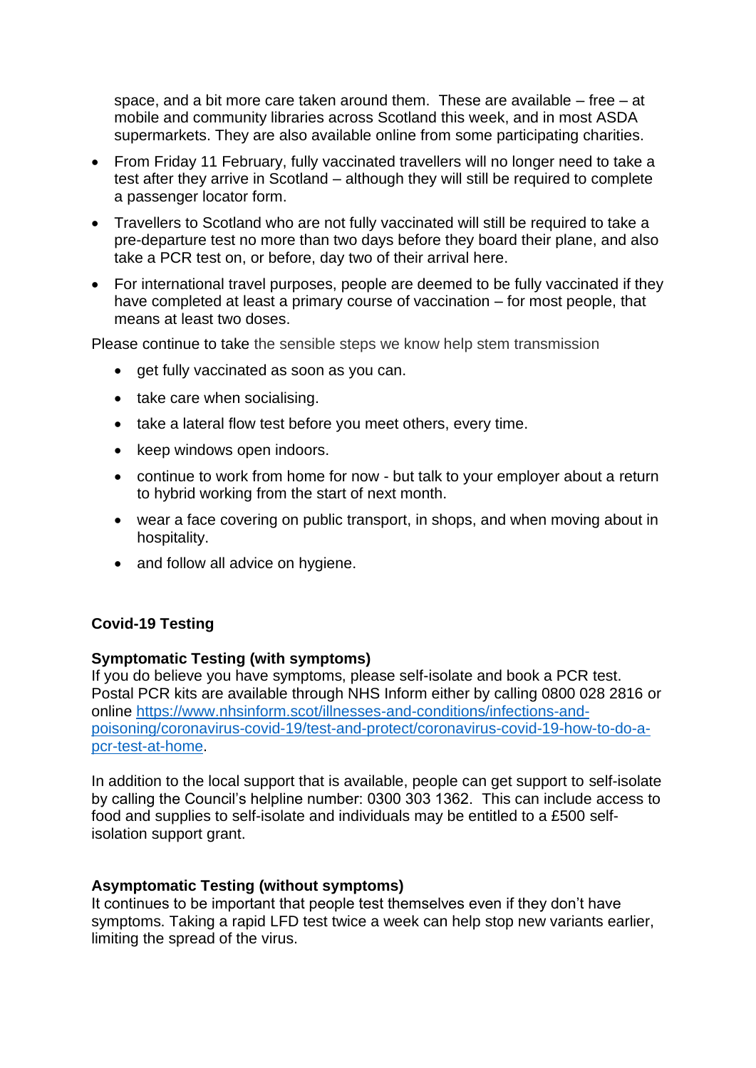space, and a bit more care taken around them. These are available – free – at mobile and community libraries across Scotland this week, and in most ASDA supermarkets. They are also available online from some participating charities.

- From Friday 11 February, fully vaccinated travellers will no longer need to take a test after they arrive in Scotland – although they will still be required to complete a passenger locator form.
- Travellers to Scotland who are not fully vaccinated will still be required to take a pre-departure test no more than two days before they board their plane, and also take a PCR test on, or before, day two of their arrival here.
- For international travel purposes, people are deemed to be fully vaccinated if they have completed at least a primary course of vaccination – for most people, that means at least two doses.

Please continue to take the sensible steps we know help stem transmission

- get fully vaccinated as soon as you can.
- take care when socialising.
- take a lateral flow test before you meet others, every time.
- keep windows open indoors.
- continue to work from home for now but talk to your employer about a return to hybrid working from the start of next month.
- wear a face covering on public transport, in shops, and when moving about in hospitality.
- and follow all advice on hygiene.

## **Covid-19 Testing**

#### **Symptomatic Testing (with symptoms)**

If you do believe you have symptoms, please self-isolate and book a PCR test. Postal PCR kits are available through NHS Inform either by calling 0800 028 2816 or online [https://www.nhsinform.scot/illnesses-and-conditions/infections-and](https://www.nhsinform.scot/illnesses-and-conditions/infections-and-poisoning/coronavirus-covid-19/test-and-protect/coronavirus-covid-19-how-to-do-a-pcr-test-at-home)[poisoning/coronavirus-covid-19/test-and-protect/coronavirus-covid-19-how-to-do-a](https://www.nhsinform.scot/illnesses-and-conditions/infections-and-poisoning/coronavirus-covid-19/test-and-protect/coronavirus-covid-19-how-to-do-a-pcr-test-at-home)[pcr-test-at-home.](https://www.nhsinform.scot/illnesses-and-conditions/infections-and-poisoning/coronavirus-covid-19/test-and-protect/coronavirus-covid-19-how-to-do-a-pcr-test-at-home)

In addition to the local support that is available, people can get support to self-isolate by calling the Council's helpline number: 0300 303 1362. This can include access to food and supplies to self-isolate and individuals may be entitled to a £500 selfisolation support grant.

#### **Asymptomatic Testing (without symptoms)**

It continues to be important that people test themselves even if they don't have symptoms. Taking a rapid LFD test twice a week can help stop new variants earlier, limiting the spread of the virus.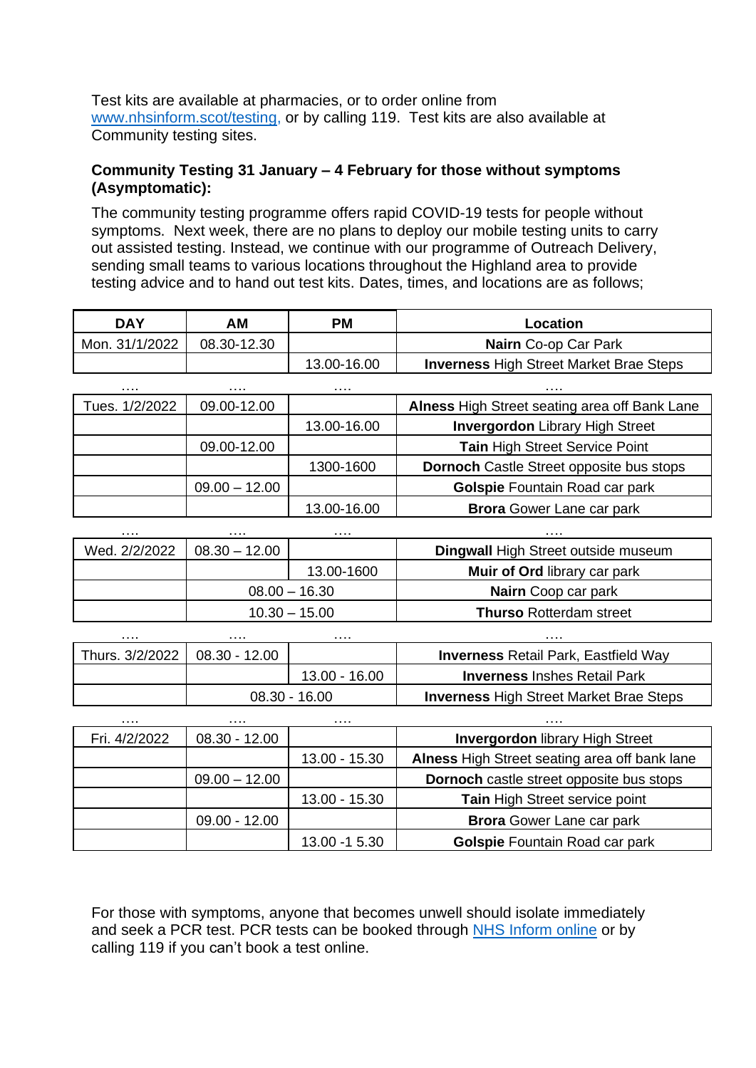Test kits are available at pharmacies, or to order online from [www.nhsinform.scot/testing,](http://www.nhsinform.scot/testing) or by calling 119. Test kits are also available at Community testing sites.

## **Community Testing 31 January – 4 February for those without symptoms (Asymptomatic):**

The community testing programme offers rapid COVID-19 tests for people without symptoms. Next week, there are no plans to deploy our mobile testing units to carry out assisted testing. Instead, we continue with our programme of Outreach Delivery, sending small teams to various locations throughout the Highland area to provide testing advice and to hand out test kits. Dates, times, and locations are as follows;

| DAY            | AΜ          | РM          | Location                                       |
|----------------|-------------|-------------|------------------------------------------------|
| Mon. 31/1/2022 | 08.30-12.30 |             | <b>Nairn</b> Co-op Car Park                    |
|                |             | 13.00-16.00 | <b>Inverness High Street Market Brae Steps</b> |

| .              | .               | .           | .                                               |
|----------------|-----------------|-------------|-------------------------------------------------|
| Tues. 1/2/2022 | 09.00-12.00     |             | Alness High Street seating area off Bank Lane   |
|                |                 | 13.00-16.00 | <b>Invergordon Library High Street</b>          |
|                | 09.00-12.00     |             | Tain High Street Service Point                  |
|                |                 | 1300-1600   | <b>Dornoch</b> Castle Street opposite bus stops |
|                | $09.00 - 12.00$ |             | Golspie Fountain Road car park                  |
|                |                 | 13.00-16.00 | <b>Brora</b> Gower Lane car park                |

| .             | .               | .          | .                                          |
|---------------|-----------------|------------|--------------------------------------------|
| Wed. 2/2/2022 | $08.30 - 12.00$ |            | <b>Dingwall High Street outside museum</b> |
|               |                 | 13.00-1600 | <b>Muir of Ord library car park</b>        |
|               | $08.00 - 16.30$ |            | <b>Nairn</b> Coop car park                 |
|               | $10.30 - 15.00$ |            | <b>Thurso Rotterdam street</b>             |

| .               | .               | .             | .                                              |
|-----------------|-----------------|---------------|------------------------------------------------|
| Thurs. 3/2/2022 | $08.30 - 12.00$ |               | <b>Inverness Retail Park, Eastfield Way</b>    |
|                 |                 | 13.00 - 16.00 | <b>Inverness</b> Inshes Retail Park            |
|                 | $08.30 - 16.00$ |               | <b>Inverness High Street Market Brae Steps</b> |

| .             | .               | .             | .                                               |
|---------------|-----------------|---------------|-------------------------------------------------|
| Fri. 4/2/2022 | $08.30 - 12.00$ |               | <b>Invergordon library High Street</b>          |
|               |                 | 13.00 - 15.30 | Alness High Street seating area off bank lane   |
|               | $09.00 - 12.00$ |               | <b>Dornoch</b> castle street opposite bus stops |
|               |                 | 13.00 - 15.30 | Tain High Street service point                  |
|               | $09.00 - 12.00$ |               | <b>Brora</b> Gower Lane car park                |
|               |                 | 13.00 -1 5.30 | Golspie Fountain Road car park                  |

For those with symptoms, anyone that becomes unwell should isolate immediately and seek a PCR test. PCR tests can be booked through NHS [Inform](https://www.nhsinform.scot/illnesses-and-conditions/infections-and-poisoning/coronavirus-covid-19/test-and-protect/coronavirus-covid-19-get-a-test-if-you-have-symptoms) online or by calling 119 if you can't book a test online.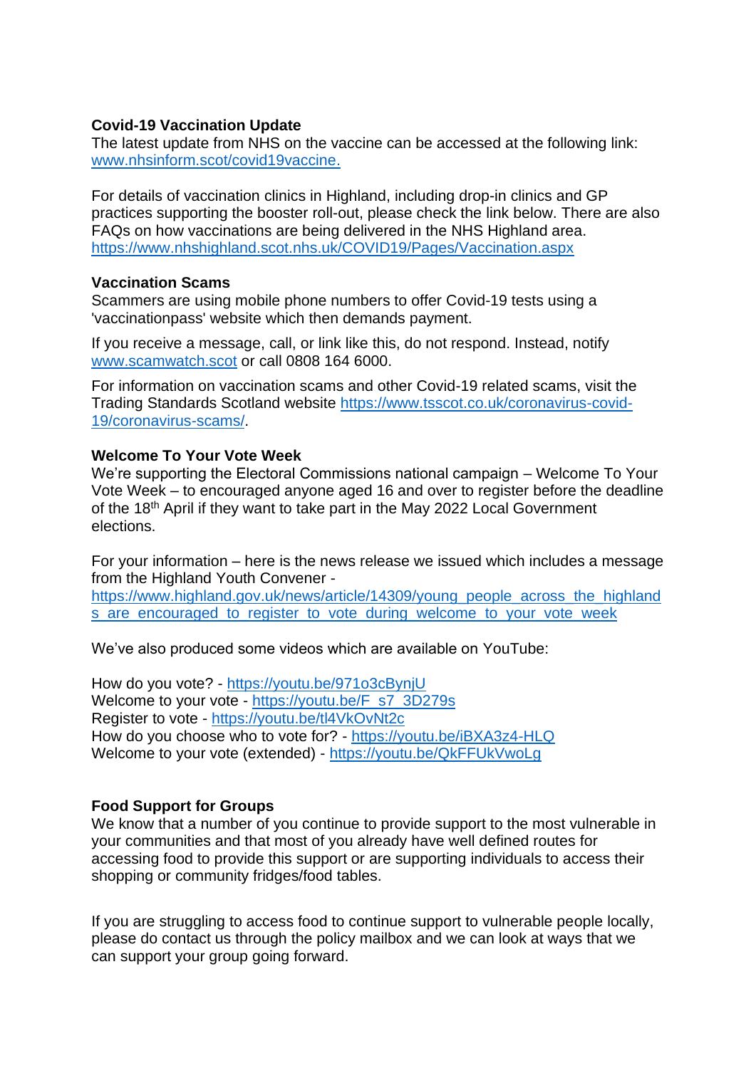# **Covid-19 Vaccination Update**

The latest update from NHS on the vaccine can be accessed at the following link: [www.nhsinform.scot/covid19vaccine.](http://www.nhsinform.scot/covid19vaccine)

For details of vaccination clinics in Highland, including drop-in clinics and GP practices supporting the booster roll-out, please check the link below. There are also FAQs on how vaccinations are being delivered in the NHS Highland area. <https://www.nhshighland.scot.nhs.uk/COVID19/Pages/Vaccination.aspx>

## **Vaccination Scams**

Scammers are using mobile phone numbers to offer Covid-19 tests using a 'vaccinationpass' website which then demands payment.

If you receive a message, call, or link like this, do not respond. Instead, notify [www.scamwatch.scot](https://l.facebook.com/l.php?u=http%3A%2F%2Fwww.scamwatch.scot%2F%3Ffbclid%3DIwAR1CaklQ6iwavFGlp5wGDowoOIQAIkVsr2aHwiu7cGzNoEY_ESeOOyTPex4&h=AT2cl3YgxOodbMWJBxy2LnYguaMttXmC99x_F1OYDn-BVq2Z_ko9mv0LaXAzaBAxVlnp-JCla3gPx5JSO_61K3DsLAcsx0a_eClEc-8WUpVcclYRGyB__0Pf1pe_1jGtPQ&__tn__=-UK-R&c%5b0%5d=AT3JSNQACBoUlAeDvOyI1FQ5CjRUKSKlbEgSC4-XFWORzzDjL7GKJqHUQkylGZ2kgiZGypec69ZGfxWQF2ywRbyopg37e9YxDn0jLUrTVKkMoLj9b_3Uyostyye8do4cQGl_OAqpIXv_FMedmyV2mbbyxHfWSu0IBLzYH6xQ5PTl0-WpCtCw) or call 0808 164 6000.

For information on vaccination scams and other Covid-19 related scams, visit the Trading Standards Scotland website [https://www.tsscot.co.uk/coronavirus-covid-](https://www.tsscot.co.uk/coronavirus-covid-19/coronavirus-scams/)[19/coronavirus-scams/.](https://www.tsscot.co.uk/coronavirus-covid-19/coronavirus-scams/)

# **Welcome To Your Vote Week**

We're supporting the Electoral Commissions national campaign – Welcome To Your Vote Week – to encouraged anyone aged 16 and over to register before the deadline of the 18th April if they want to take part in the May 2022 Local Government elections.

For your information – here is the news release we issued which includes a message from the Highland Youth Convener -

[https://www.highland.gov.uk/news/article/14309/young\\_people\\_across\\_the\\_highland](https://eur02.safelinks.protection.outlook.com/?url=https%3A%2F%2Fwww.highland.gov.uk%2Fnews%2Farticle%2F14309%2Fyoung_people_across_the_highlands_are_encouraged_to_register_to_vote_during_welcome_to_your_vote_week&data=04%7C01%7CRosemary.MacKinnon%40highland.gov.uk%7C008111bd7b064e1aa6f208d9e014bb73%7C89f0b56e6d164fe89dba176fa940f7c9%7C0%7C0%7C637787201905701239%7CUnknown%7CTWFpbGZsb3d8eyJWIjoiMC4wLjAwMDAiLCJQIjoiV2luMzIiLCJBTiI6Ik1haWwiLCJXVCI6Mn0%3D%7C3000&sdata=Bq9lU5M7Ff6%2Fin6VKjyKRvJjkrWazTcSeUjs78wyHHM%3D&reserved=0) s are encouraged to register to vote during welcome to your vote week

We've also produced some videos which are available on YouTube:

How do you vote? - [https://youtu.be/971o3cBynjU](https://eur02.safelinks.protection.outlook.com/?url=https%3A%2F%2Fyoutu.be%2F971o3cBynjU&data=04%7C01%7CRosemary.MacKinnon%40highland.gov.uk%7C008111bd7b064e1aa6f208d9e014bb73%7C89f0b56e6d164fe89dba176fa940f7c9%7C0%7C0%7C637787201905701239%7CUnknown%7CTWFpbGZsb3d8eyJWIjoiMC4wLjAwMDAiLCJQIjoiV2luMzIiLCJBTiI6Ik1haWwiLCJXVCI6Mn0%3D%7C3000&sdata=5FHkTOvO2ba6hgGswz9j4ARXv4lWm2pu3EJtkmLFYJs%3D&reserved=0) Welcome to your vote - [https://youtu.be/F\\_s7\\_3D279s](https://eur02.safelinks.protection.outlook.com/?url=https%3A%2F%2Fyoutu.be%2FF_s7_3D279s&data=04%7C01%7CRosemary.MacKinnon%40highland.gov.uk%7C008111bd7b064e1aa6f208d9e014bb73%7C89f0b56e6d164fe89dba176fa940f7c9%7C0%7C0%7C637787201905701239%7CUnknown%7CTWFpbGZsb3d8eyJWIjoiMC4wLjAwMDAiLCJQIjoiV2luMzIiLCJBTiI6Ik1haWwiLCJXVCI6Mn0%3D%7C3000&sdata=0lUsfZIsN7cjhwCFxOx7YFgZFF%2FThGiivadq%2Fo%2FXCG4%3D&reserved=0) Register to vote - [https://youtu.be/tl4VkOvNt2c](https://eur02.safelinks.protection.outlook.com/?url=https%3A%2F%2Fyoutu.be%2Ftl4VkOvNt2c&data=04%7C01%7CRosemary.MacKinnon%40highland.gov.uk%7C008111bd7b064e1aa6f208d9e014bb73%7C89f0b56e6d164fe89dba176fa940f7c9%7C0%7C0%7C637787201905701239%7CUnknown%7CTWFpbGZsb3d8eyJWIjoiMC4wLjAwMDAiLCJQIjoiV2luMzIiLCJBTiI6Ik1haWwiLCJXVCI6Mn0%3D%7C3000&sdata=wWUc77P4O8vx5QC5KB3zSI0xpyBaSLxEHc5d3z2gA3w%3D&reserved=0) How do you choose who to vote for? - [https://youtu.be/iBXA3z4-HLQ](https://eur02.safelinks.protection.outlook.com/?url=https%3A%2F%2Fyoutu.be%2FiBXA3z4-HLQ&data=04%7C01%7CRosemary.MacKinnon%40highland.gov.uk%7C008111bd7b064e1aa6f208d9e014bb73%7C89f0b56e6d164fe89dba176fa940f7c9%7C0%7C0%7C637787201905701239%7CUnknown%7CTWFpbGZsb3d8eyJWIjoiMC4wLjAwMDAiLCJQIjoiV2luMzIiLCJBTiI6Ik1haWwiLCJXVCI6Mn0%3D%7C3000&sdata=pz3c8edcJVzhX1I7%2FlFePAY3lwQeHjiGzvC5o34uaag%3D&reserved=0) Welcome to your vote (extended) - [https://youtu.be/QkFFUkVwoLg](https://eur02.safelinks.protection.outlook.com/?url=https%3A%2F%2Fyoutu.be%2FQkFFUkVwoLg&data=04%7C01%7CRosemary.MacKinnon%40highland.gov.uk%7C008111bd7b064e1aa6f208d9e014bb73%7C89f0b56e6d164fe89dba176fa940f7c9%7C0%7C0%7C637787201905701239%7CUnknown%7CTWFpbGZsb3d8eyJWIjoiMC4wLjAwMDAiLCJQIjoiV2luMzIiLCJBTiI6Ik1haWwiLCJXVCI6Mn0%3D%7C3000&sdata=PDXATc0JoIifMP3yvH9s%2B4KXeOhggcHYjHvl2mjGLqg%3D&reserved=0)

## **Food Support for Groups**

We know that a number of you continue to provide support to the most vulnerable in your communities and that most of you already have well defined routes for accessing food to provide this support or are supporting individuals to access their shopping or community fridges/food tables.

If you are struggling to access food to continue support to vulnerable people locally, please do contact us through the policy mailbox and we can look at ways that we can support your group going forward.